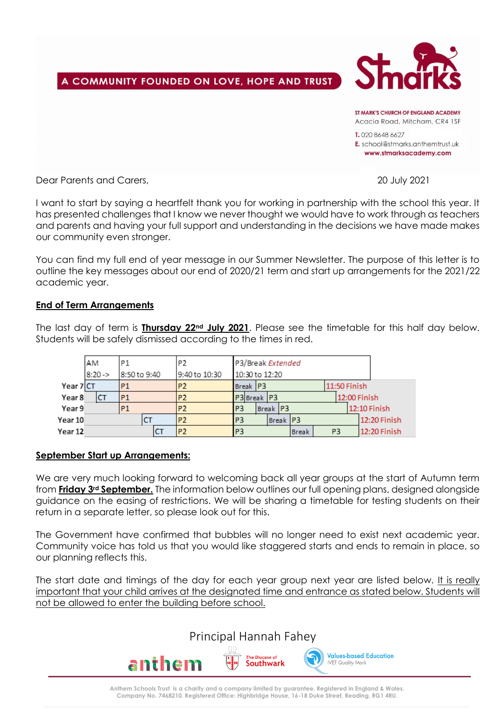# A COMMUNITY FOUNDED ON LOVE, HOPE AND TRUST



ST MARK'S CHIIRCH OF FNGI AND ACADEMY Acacia Road, Mitcham, CR4 1SF T. 020 8648 6627

E. school@stmarks.anthemtrust.uk www.stmarksacademy.com

Dear Parents and Carers, 20 July 2021

I want to start by saying a heartfelt thank you for working in partnership with the school this year. It has presented challenges that I know we never thought we would have to work through as teachers and parents and having your full support and understanding in the decisions we have made makes our community even stronger.

You can find my full end of year message in our Summer Newsletter. The purpose of this letter is to outline the key messages about our end of 2020/21 term and start up arrangements for the 2021/22 academic year.

### **End of Term Arrangements**

The last day of term is **Thursday 22nd July 2021**. Please see the timetable for this half day below. Students will be safely dismissed according to the times in red.

| <b>AM</b> |    | P <sub>1</sub> |           | IP2           | P3/Break Extended |                |                |  |              |          |    |              |              |  |  |
|-----------|----|----------------|-----------|---------------|-------------------|----------------|----------------|--|--------------|----------|----|--------------|--------------|--|--|
| $8:20-$   |    | 8:50 to 9:40   |           | 9:40 to 10:30 | 10:30 to 12:20    |                |                |  |              |          |    |              |              |  |  |
| Year 7 CT |    |                | P1        |               | P <sub>2</sub>    |                | Break P3       |  |              |          |    | 11:50 Finish |              |  |  |
| Year 8    | ĊT |                | P1        |               | P <sub>2</sub>    |                | P3 Break P3    |  |              |          |    |              | 12:00 Finish |  |  |
| Year 9    |    |                | <b>P1</b> |               | P <sub>2</sub>    | P <sub>3</sub> |                |  |              | Break P3 |    |              | 12:10 Finish |  |  |
| Year 10   |    |                |           |               | P <sub>2</sub>    | P <sub>3</sub> |                |  |              | Break P3 |    |              | 12:20 Finish |  |  |
| Year 12   |    |                |           |               | P <sub>2</sub>    |                | P <sub>3</sub> |  | <b>Break</b> |          | P3 |              | 12:20 Finish |  |  |

### **September Start up Arrangements:**

We are very much looking forward to welcoming back all year groups at the start of Autumn term from **Friday 3rd September.** The information below outlines our full opening plans, designed alongside guidance on the easing of restrictions. We will be sharing a timetable for testing students on their return in a separate letter, so please look out for this.

The Government have confirmed that bubbles will no longer need to exist next academic year. Community voice has told us that you would like staggered starts and ends to remain in place, so our planning reflects this.

The start date and timings of the day for each year group next year are listed below. It is really important that your child arrives at the designated time and entrance as stated below. Students will not be allowed to enter the building before school.

Principal Hannah Fahey



**Anthem Schools Trust is a charity and a company limited by guarantee. Registered in England & Wales. Company No. 7468210. Registered Office: Highbridge House, 16-18 Duke Street, Reading, RG1 4RU.**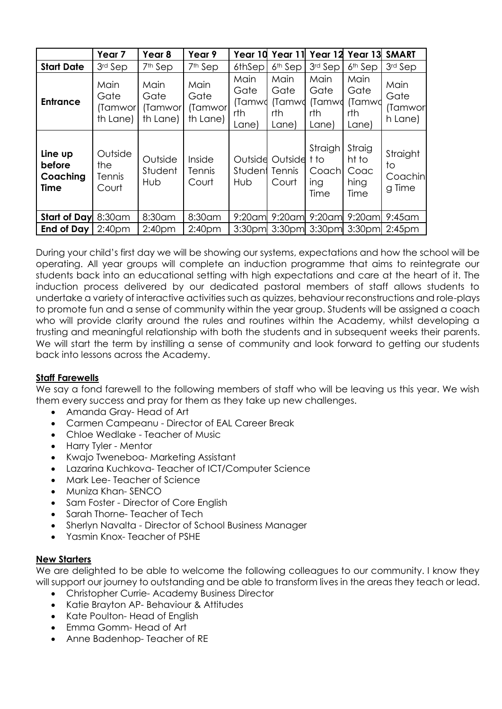|                                              | Year <sub>7</sub>                    | Year 8                              | Year 9                              | Year 10                                | Year 11                                | Year 12                                  | Year 13                                 | <b>SMART</b>                        |
|----------------------------------------------|--------------------------------------|-------------------------------------|-------------------------------------|----------------------------------------|----------------------------------------|------------------------------------------|-----------------------------------------|-------------------------------------|
| <b>Start Date</b>                            | 3rd Sep                              | 7 <sup>th</sup> Sep                 | 7 <sup>th</sup> Sep                 | 6thSep                                 | 6 <sup>th</sup> Sep                    | 3rd Sep                                  | $6th$ Sep                               | 3rd Sep                             |
| <b>Entrance</b>                              | Main<br>Gate<br>(Tamwor)<br>th Lane) | Main<br>Gate<br>(Tamwor<br>th Lane) | Main<br>Gate<br>(Tamwor<br>th Lane) | Main<br>Gate<br>(Tamwd<br>rth<br>Lane) | Main<br>Gate<br>(Tamwd<br>rth<br>Lane) | Main<br>Gate<br>(Tamwd<br>rth<br>Lane)   | Main<br>Gate<br>(Tamwd<br>rth<br>Lane)  | Main<br>Gate<br>(Tamwor<br>h Lane)  |
| Line up<br>before<br>Coaching<br><b>Time</b> | Outside<br>the<br>Tennis<br>Court    | Outside<br>Student<br>Hub           | Inside<br>Tennis<br>Court           | Outside<br>Student<br>Hub              | Outside<br>Tennis<br>Court             | Straigh<br>t to<br>Coachl<br>ing<br>Time | Straig<br>ht to<br>Coac<br>hing<br>Time | Straight<br>to<br>Coachin<br>g Time |
| <b>Start of Day</b>                          | 8:30 am                              | 8:30am                              | 8:30am                              | $9:20$ am                              | $9:20$ am                              | $9:20$ am                                | $9:20$ am                               | $9:45$ am                           |
| <b>End of Day</b>                            | 2:40 <sub>pm</sub>                   | 2:40 <sub>pm</sub>                  | 2:40 <sub>pm</sub>                  |                                        |                                        |                                          | 3:30pm 3:30pm 3:30pm 3:30pm             | $2:45$ pm                           |

During your child's first day we will be showing our systems, expectations and how the school will be operating. All year groups will complete an induction programme that aims to reintegrate our students back into an educational setting with high expectations and care at the heart of it. The induction process delivered by our dedicated pastoral members of staff allows students to undertake a variety of interactive activities such as quizzes, behaviour reconstructions and role-plays to promote fun and a sense of community within the year group. Students will be assigned a coach who will provide clarity around the rules and routines within the Academy, whilst developing a trusting and meaningful relationship with both the students and in subsequent weeks their parents. We will start the term by instilling a sense of community and look forward to getting our students back into lessons across the Academy.

### **Staff Farewells**

We say a fond farewell to the following members of staff who will be leaving us this year. We wish them every success and pray for them as they take up new challenges.

- Amanda Gray- Head of Art
- Carmen Campeanu Director of EAL Career Break
- Chloe Wedlake Teacher of Music
- Harry Tyler Mentor
- Kwajo Tweneboa- Marketing Assistant
- Lazarina Kuchkova- Teacher of ICT/Computer Science
- Mark Lee- Teacher of Science
- Muniza Khan- SENCO
- Sam Foster Director of Core English
- Sarah Thorne- Teacher of Tech
- Sherlyn Navalta Director of School Business Manager
- Yasmin Knox- Teacher of PSHE

### **New Starters**

We are delighted to be able to welcome the following colleagues to our community. I know they will support our journey to outstanding and be able to transform lives in the areas they teach or lead.

- Christopher Currie- Academy Business Director
- Katie Brayton AP- Behaviour & Attitudes
- Kate Poulton- Head of English
- Emma Gomm- Head of Art
- Anne Badenhop- Teacher of RE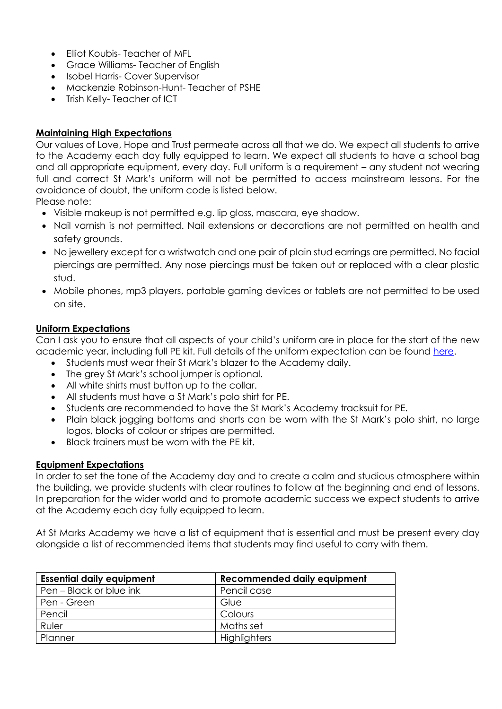- Elliot Koubis- Teacher of MFL
- Grace Williams- Teacher of English
- Isobel Harris- Cover Supervisor
- Mackenzie Robinson-Hunt- Teacher of PSHE
- Trish Kelly- Teacher of ICT

# **Maintaining High Expectations**

Our values of Love, Hope and Trust permeate across all that we do. We expect all students to arrive to the Academy each day fully equipped to learn. We expect all students to have a school bag and all appropriate equipment, every day. Full uniform is a requirement – any student not wearing full and correct St Mark's uniform will not be permitted to access mainstream lessons. For the avoidance of doubt, the uniform code is listed below.

Please note:

- Visible makeup is not permitted e.g. lip gloss, mascara, eye shadow.
- Nail varnish is not permitted. Nail extensions or decorations are not permitted on health and safety grounds.
- No jewellery except for a wristwatch and one pair of plain stud earrings are permitted. No facial piercings are permitted. Any nose piercings must be taken out or replaced with a clear plastic stud.
- Mobile phones, mp3 players, portable gaming devices or tablets are not permitted to be used on site.

# **Uniform Expectations**

Can I ask you to ensure that all aspects of your child's uniform are in place for the start of the new academic year, including full PE kit. Full details of the uniform expectation can be found [here.](http://www.stmarksacademy.com/page/?title=School+Uniform&pid=30)

- Students must wear their St Mark's blazer to the Academy daily.
- The grey St Mark's school jumper is optional.
- All white shirts must button up to the collar.
- All students must have a St Mark's polo shirt for PE.
- Students are recommended to have the St Mark's Academy tracksuit for PE.
- Plain black jogging bottoms and shorts can be worn with the St Mark's polo shirt, no large logos, blocks of colour or stripes are permitted.
- Black trainers must be worn with the PE kit.

### **Equipment Expectations**

In order to set the tone of the Academy day and to create a calm and studious atmosphere within the building, we provide students with clear routines to follow at the beginning and end of lessons. In preparation for the wider world and to promote academic success we expect students to arrive at the Academy each day fully equipped to learn.

At St Marks Academy we have a list of equipment that is essential and must be present every day alongside a list of recommended items that students may find useful to carry with them.

| <b>Essential daily equipment</b> | Recommended daily equipment |  |  |  |  |  |
|----------------------------------|-----------------------------|--|--|--|--|--|
| Pen – Black or blue ink          | Pencil case                 |  |  |  |  |  |
| Pen - Green                      | Glue                        |  |  |  |  |  |
| Pencil                           | Colours                     |  |  |  |  |  |
| Ruler                            | Maths set                   |  |  |  |  |  |
| Planner                          | Highlighters                |  |  |  |  |  |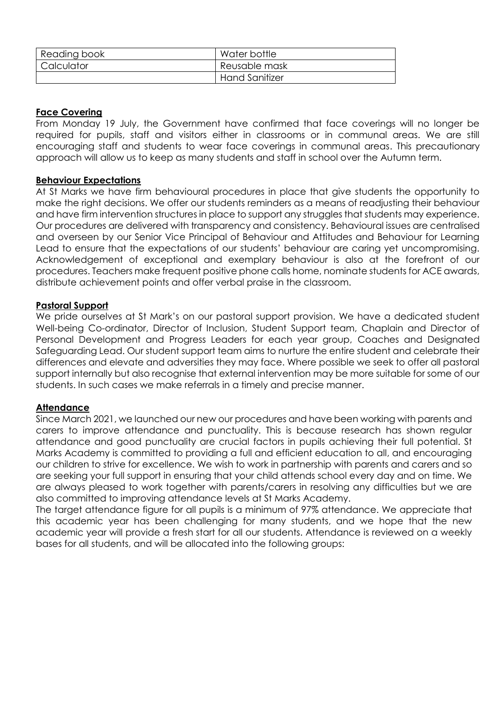| Reading book | Water bottle          |
|--------------|-----------------------|
| Calculator   | Reusable mask         |
|              | <b>Hand Sanitizer</b> |

### **Face Covering**

From Monday 19 July, the Government have confirmed that face coverings will no longer be required for pupils, staff and visitors either in classrooms or in communal areas. We are still encouraging staff and students to wear face coverings in communal areas. This precautionary approach will allow us to keep as many students and staff in school over the Autumn term.

# **Behaviour Expectations**

At St Marks we have firm behavioural procedures in place that give students the opportunity to make the right decisions. We offer our students reminders as a means of readjusting their behaviour and have firm intervention structures in place to support any struggles that students may experience. Our procedures are delivered with transparency and consistency. Behavioural issues are centralised and overseen by our Senior Vice Principal of Behaviour and Attitudes and Behaviour for Learning Lead to ensure that the expectations of our students' behaviour are caring yet uncompromising. Acknowledgement of exceptional and exemplary behaviour is also at the forefront of our procedures. Teachers make frequent positive phone calls home, nominate students for ACE awards, distribute achievement points and offer verbal praise in the classroom.

### **Pastoral Support**

We pride ourselves at St Mark's on our pastoral support provision. We have a dedicated student Well-being Co-ordinator, Director of Inclusion, Student Support team, Chaplain and Director of Personal Development and Progress Leaders for each year group, Coaches and Designated Safeguarding Lead. Our student support team aims to nurture the entire student and celebrate their differences and elevate and adversities they may face. Where possible we seek to offer all pastoral support internally but also recognise that external intervention may be more suitable for some of our students. In such cases we make referrals in a timely and precise manner.

### **Attendance**

Since March 2021, we launched our new our procedures and have been working with parents and carers to improve attendance and punctuality. This is because research has shown regular attendance and good punctuality are crucial factors in pupils achieving their full potential. St Marks Academy is committed to providing a full and efficient education to all, and encouraging our children to strive for excellence. We wish to work in partnership with parents and carers and so are seeking your full support in ensuring that your child attends school every day and on time. We are always pleased to work together with parents/carers in resolving any difficulties but we are also committed to improving attendance levels at St Marks Academy.

The target attendance figure for all pupils is a minimum of 97% attendance. We appreciate that this academic year has been challenging for many students, and we hope that the new academic year will provide a fresh start for all our students. Attendance is reviewed on a weekly bases for all students, and will be allocated into the following groups: